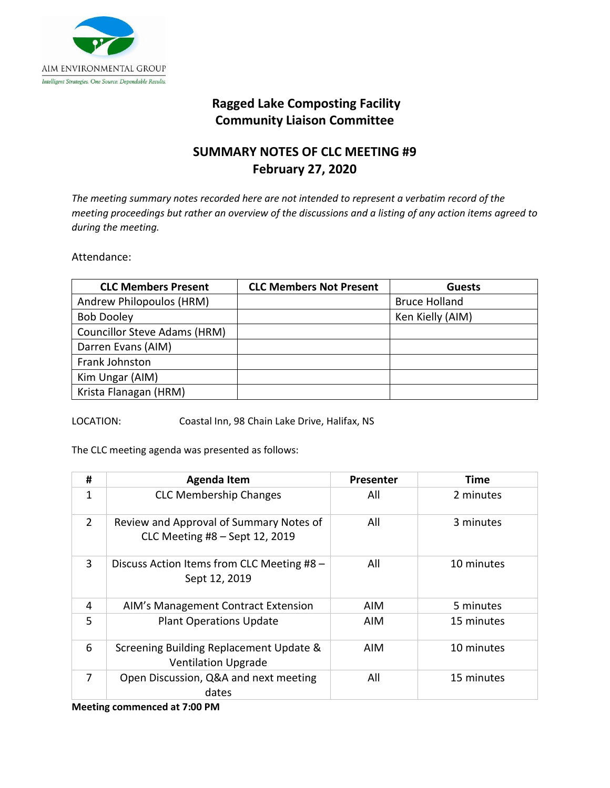

## **Ragged Lake Composting Facility Community Liaison Committee**

## **SUMMARY NOTES OF CLC MEETING #9 February 27, 2020**

*The meeting summary notes recorded here are not intended to represent a verbatim record of the meeting proceedings but rather an overview of the discussions and a listing of any action items agreed to during the meeting.* 

Attendance:

| <b>CLC Members Present</b>          | <b>CLC Members Not Present</b> | <b>Guests</b>        |
|-------------------------------------|--------------------------------|----------------------|
| Andrew Philopoulos (HRM)            |                                | <b>Bruce Holland</b> |
| <b>Bob Dooley</b>                   |                                | Ken Kielly (AIM)     |
| <b>Councillor Steve Adams (HRM)</b> |                                |                      |
| Darren Evans (AIM)                  |                                |                      |
| Frank Johnston                      |                                |                      |
| Kim Ungar (AIM)                     |                                |                      |
| Krista Flanagan (HRM)               |                                |                      |

LOCATION: Coastal Inn, 98 Chain Lake Drive, Halifax, NS

The CLC meeting agenda was presented as follows:

| #              | <b>Agenda Item</b>                                                        | Presenter  | <b>Time</b> |
|----------------|---------------------------------------------------------------------------|------------|-------------|
| 1              | <b>CLC Membership Changes</b>                                             | All        | 2 minutes   |
| $\overline{2}$ | Review and Approval of Summary Notes of<br>CLC Meeting #8 - Sept 12, 2019 | All        | 3 minutes   |
| 3              | Discuss Action Items from CLC Meeting #8 -<br>Sept 12, 2019               | All        | 10 minutes  |
| 4              | AIM's Management Contract Extension                                       | AIM        | 5 minutes   |
| 5              | <b>Plant Operations Update</b>                                            | <b>AIM</b> | 15 minutes  |
| 6              | Screening Building Replacement Update &<br><b>Ventilation Upgrade</b>     | <b>AIM</b> | 10 minutes  |
| 7              | Open Discussion, Q&A and next meeting<br>dates                            | All        | 15 minutes  |

**Meeting commenced at 7:00 PM**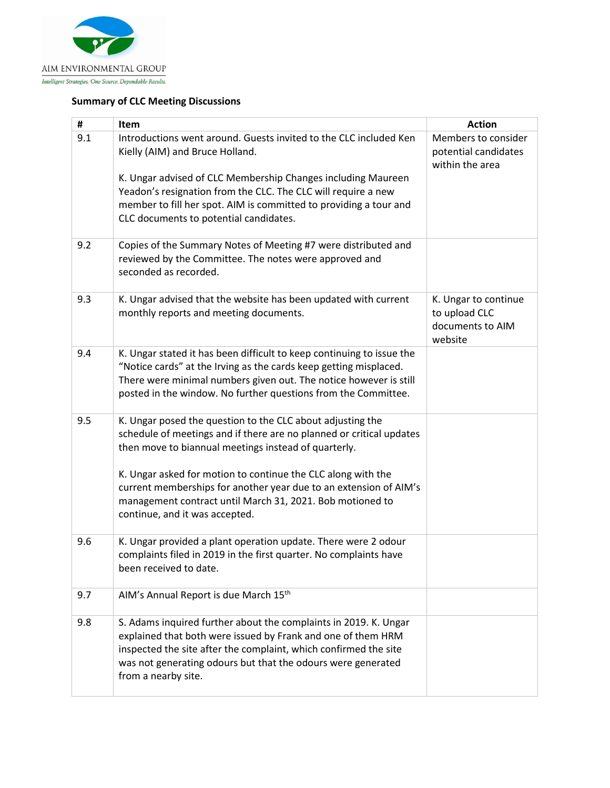

## **Summary of CLC Meeting Discussions**

| #   | Item                                                                                                                                                                                                                                                                                        | <b>Action</b>                                                        |
|-----|---------------------------------------------------------------------------------------------------------------------------------------------------------------------------------------------------------------------------------------------------------------------------------------------|----------------------------------------------------------------------|
| 9.1 | Introductions went around. Guests invited to the CLC included Ken<br>Kielly (AIM) and Bruce Holland.<br>K. Ungar advised of CLC Membership Changes including Maureen<br>Yeadon's resignation from the CLC. The CLC will require a new                                                       | Members to consider<br>potential candidates<br>within the area       |
|     | member to fill her spot. AIM is committed to providing a tour and<br>CLC documents to potential candidates.                                                                                                                                                                                 |                                                                      |
| 9.2 | Copies of the Summary Notes of Meeting #7 were distributed and<br>reviewed by the Committee. The notes were approved and<br>seconded as recorded.                                                                                                                                           |                                                                      |
| 9.3 | K. Ungar advised that the website has been updated with current<br>monthly reports and meeting documents.                                                                                                                                                                                   | K. Ungar to continue<br>to upload CLC<br>documents to AIM<br>website |
| 9.4 | K. Ungar stated it has been difficult to keep continuing to issue the<br>"Notice cards" at the Irving as the cards keep getting misplaced.<br>There were minimal numbers given out. The notice however is still<br>posted in the window. No further questions from the Committee.           |                                                                      |
| 9.5 | K. Ungar posed the question to the CLC about adjusting the<br>schedule of meetings and if there are no planned or critical updates<br>then move to biannual meetings instead of quarterly.                                                                                                  |                                                                      |
|     | K. Ungar asked for motion to continue the CLC along with the<br>current memberships for another year due to an extension of AIM's<br>management contract until March 31, 2021. Bob motioned to<br>continue, and it was accepted.                                                            |                                                                      |
| 9.6 | K. Ungar provided a plant operation update. There were 2 odour<br>complaints filed in 2019 in the first quarter. No complaints have<br>been received to date.                                                                                                                               |                                                                      |
| 9.7 | AIM's Annual Report is due March 15th                                                                                                                                                                                                                                                       |                                                                      |
| 9.8 | S. Adams inquired further about the complaints in 2019. K. Ungar<br>explained that both were issued by Frank and one of them HRM<br>inspected the site after the complaint, which confirmed the site<br>was not generating odours but that the odours were generated<br>from a nearby site. |                                                                      |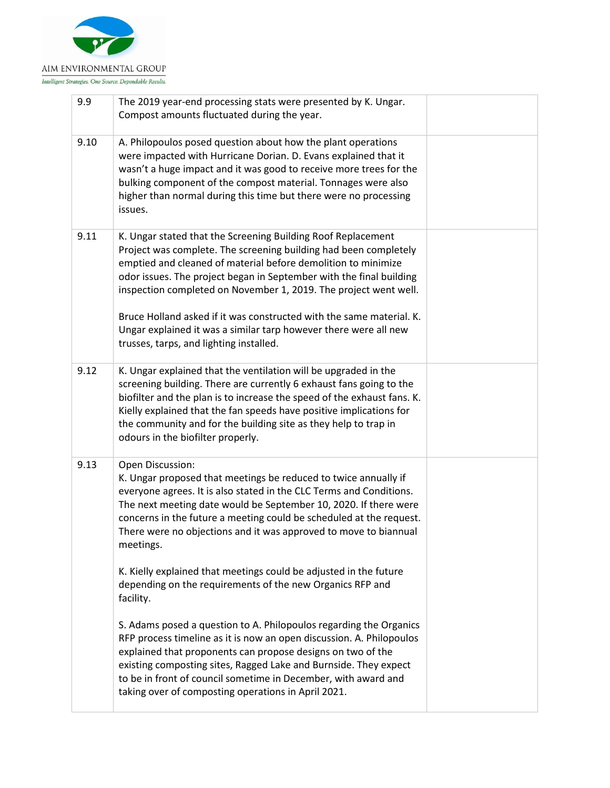

| 9.9  | The 2019 year-end processing stats were presented by K. Ungar.<br>Compost amounts fluctuated during the year.                                                                                                                                                                                                                                                                                                                                                                                                                       |  |
|------|-------------------------------------------------------------------------------------------------------------------------------------------------------------------------------------------------------------------------------------------------------------------------------------------------------------------------------------------------------------------------------------------------------------------------------------------------------------------------------------------------------------------------------------|--|
| 9.10 | A. Philopoulos posed question about how the plant operations<br>were impacted with Hurricane Dorian. D. Evans explained that it<br>wasn't a huge impact and it was good to receive more trees for the<br>bulking component of the compost material. Tonnages were also<br>higher than normal during this time but there were no processing<br>issues.                                                                                                                                                                               |  |
| 9.11 | K. Ungar stated that the Screening Building Roof Replacement<br>Project was complete. The screening building had been completely<br>emptied and cleaned of material before demolition to minimize<br>odor issues. The project began in September with the final building<br>inspection completed on November 1, 2019. The project went well.<br>Bruce Holland asked if it was constructed with the same material. K.<br>Ungar explained it was a similar tarp however there were all new<br>trusses, tarps, and lighting installed. |  |
| 9.12 | K. Ungar explained that the ventilation will be upgraded in the<br>screening building. There are currently 6 exhaust fans going to the<br>biofilter and the plan is to increase the speed of the exhaust fans. K.<br>Kielly explained that the fan speeds have positive implications for<br>the community and for the building site as they help to trap in<br>odours in the biofilter properly.                                                                                                                                    |  |
| 9.13 | Open Discussion:<br>K. Ungar proposed that meetings be reduced to twice annually if<br>everyone agrees. It is also stated in the CLC Terms and Conditions.<br>The next meeting date would be September 10, 2020. If there were<br>concerns in the future a meeting could be scheduled at the request.<br>There were no objections and it was approved to move to biannual<br>meetings.<br>K. Kielly explained that meetings could be adjusted in the future                                                                         |  |
|      | depending on the requirements of the new Organics RFP and<br>facility.                                                                                                                                                                                                                                                                                                                                                                                                                                                              |  |
|      | S. Adams posed a question to A. Philopoulos regarding the Organics<br>RFP process timeline as it is now an open discussion. A. Philopoulos<br>explained that proponents can propose designs on two of the<br>existing composting sites, Ragged Lake and Burnside. They expect<br>to be in front of council sometime in December, with award and<br>taking over of composting operations in April 2021.                                                                                                                              |  |